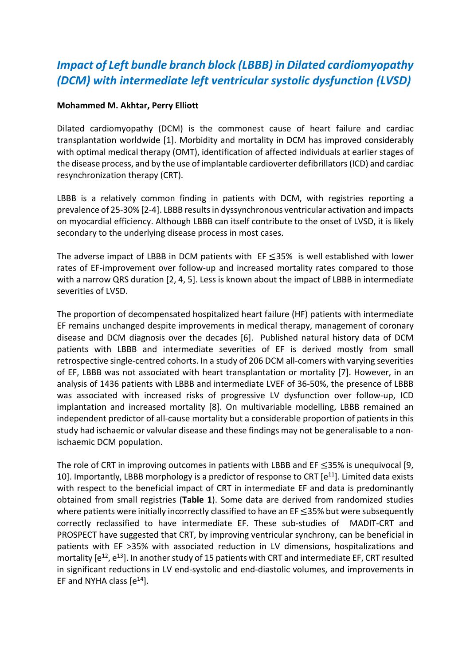## *Impact of Left bundle branch block (LBBB) in Dilated cardiomyopathy (DCM) with intermediate left ventricular systolic dysfunction (LVSD)*

## **Mohammed M. Akhtar, Perry Elliott**

Dilated cardiomyopathy (DCM) is the commonest cause of heart failure and cardiac transplantation worldwide [1]. Morbidity and mortality in DCM has improved considerably with optimal medical therapy (OMT), identification of affected individuals at earlier stages of the disease process, and by the use of implantable cardioverter defibrillators (ICD) and cardiac resynchronization therapy (CRT).

LBBB is a relatively common finding in patients with DCM, with registries reporting a prevalence of 25-30% [2-4]. LBBB results in dyssynchronous ventricular activation and impacts on myocardial efficiency. Although LBBB can itself contribute to the onset of LVSD, it is likely secondary to the underlying disease process in most cases.

The adverse impact of LBBB in DCM patients with  $EF \leq 35\%$  is well established with lower rates of EF-improvement over follow-up and increased mortality rates compared to those with a narrow QRS duration [2, 4, 5]. Less is known about the impact of LBBB in intermediate severities of LVSD.

The proportion of decompensated hospitalized heart failure (HF) patients with intermediate EF remains unchanged despite improvements in medical therapy, management of coronary disease and DCM diagnosis over the decades [6]. Published natural history data of DCM patients with LBBB and intermediate severities of EF is derived mostly from small retrospective single-centred cohorts. In a study of 206 DCM all-comers with varying severities of EF, LBBB was not associated with heart transplantation or mortality [7]. However, in an analysis of 1436 patients with LBBB and intermediate LVEF of 36-50%, the presence of LBBB was associated with increased risks of progressive LV dysfunction over follow-up, ICD implantation and increased mortality [8]. On multivariable modelling, LBBB remained an independent predictor of all-cause mortality but a considerable proportion of patients in this study had ischaemic or valvular disease and these findings may not be generalisable to a nonischaemic DCM population.

The role of CRT in improving outcomes in patients with LBBB and EF  $\leq$ 35% is unequivocal [9, 10]. Importantly, LBBB morphology is a predictor of response to CRT  $[e^{11}]$ . Limited data exists with respect to the beneficial impact of CRT in intermediate EF and data is predominantly obtained from small registries (**Table 1**). Some data are derived from randomized studies where patients were initially incorrectly classified to have an EF ≤35% but were subsequently correctly reclassified to have intermediate EF. These sub-studies of MADIT-CRT and PROSPECT have suggested that CRT, by improving ventricular synchrony, can be beneficial in patients with EF >35% with associated reduction in LV dimensions, hospitalizations and mortality  $[e^{12}, e^{13}]$ . In another study of 15 patients with CRT and intermediate EF, CRT resulted in significant reductions in LV end-systolic and end-diastolic volumes, and improvements in EF and NYHA class  $[e^{14}]$ .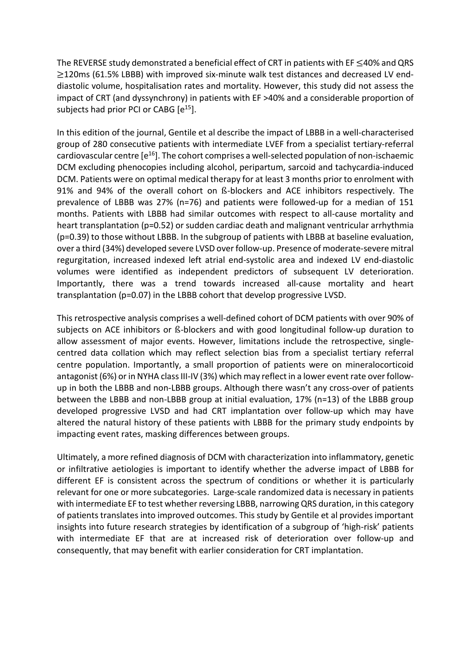The REVERSE study demonstrated a beneficial effect of CRT in patients with EF ≤40% and QRS ≥120ms (61.5% LBBB) with improved six-minute walk test distances and decreased LV enddiastolic volume, hospitalisation rates and mortality. However, this study did not assess the impact of CRT (and dyssynchrony) in patients with EF >40% and a considerable proportion of subjects had prior PCI or CABG  $[e^{15}]$ .

In this edition of the journal, Gentile et al describe the impact of LBBB in a well-characterised group of 280 consecutive patients with intermediate LVEF from a specialist tertiary-referral cardiovascular centre  $[e^{16}]$ . The cohort comprises a well-selected population of non-ischaemic DCM excluding phenocopies including alcohol, peripartum, sarcoid and tachycardia-induced DCM. Patients were on optimal medical therapy for at least 3 months prior to enrolment with 91% and 94% of the overall cohort on ß-blockers and ACE inhibitors respectively. The prevalence of LBBB was 27% (n=76) and patients were followed-up for a median of 151 months. Patients with LBBB had similar outcomes with respect to all-cause mortality and heart transplantation (p=0.52) or sudden cardiac death and malignant ventricular arrhythmia (p=0.39) to those without LBBB. In the subgroup of patients with LBBB at baseline evaluation, over a third (34%) developed severe LVSD over follow-up. Presence of moderate-severe mitral regurgitation, increased indexed left atrial end-systolic area and indexed LV end-diastolic volumes were identified as independent predictors of subsequent LV deterioration. Importantly, there was a trend towards increased all-cause mortality and heart transplantation (p=0.07) in the LBBB cohort that develop progressive LVSD.

This retrospective analysis comprises a well-defined cohort of DCM patients with over 90% of subjects on ACE inhibitors or ß-blockers and with good longitudinal follow-up duration to allow assessment of major events. However, limitations include the retrospective, singlecentred data collation which may reflect selection bias from a specialist tertiary referral centre population. Importantly, a small proportion of patients were on mineralocorticoid antagonist (6%) or in NYHA class III-IV (3%) which may reflect in a lower event rate over followup in both the LBBB and non-LBBB groups. Although there wasn't any cross-over of patients between the LBBB and non-LBBB group at initial evaluation, 17% (n=13) of the LBBB group developed progressive LVSD and had CRT implantation over follow-up which may have altered the natural history of these patients with LBBB for the primary study endpoints by impacting event rates, masking differences between groups.

Ultimately, a more refined diagnosis of DCM with characterization into inflammatory, genetic or infiltrative aetiologies is important to identify whether the adverse impact of LBBB for different EF is consistent across the spectrum of conditions or whether it is particularly relevant for one or more subcategories. Large-scale randomized data is necessary in patients with intermediate EF to test whether reversing LBBB, narrowing QRS duration, in this category of patients translates into improved outcomes. This study by Gentile et al provides important insights into future research strategies by identification of a subgroup of 'high-risk' patients with intermediate EF that are at increased risk of deterioration over follow-up and consequently, that may benefit with earlier consideration for CRT implantation.